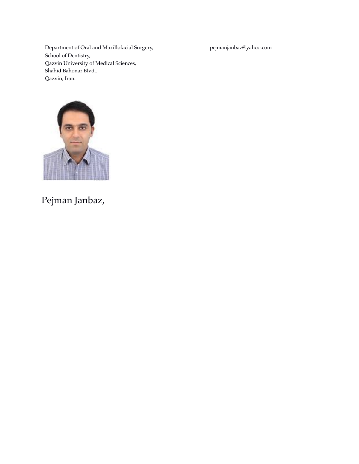Department of Oral and Maxillofacial Surgery, School of Dentistry, Qazvin University of Medical Sciences, Shahid Bahonar Blvd.. Qazvin, Iran.

pejmanjanbaz@yahoo.com



# Pejman Janbaz,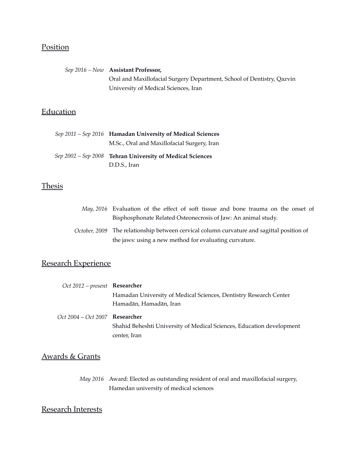## Position

*Sep 2016 – Now* **Assistant Professor,** Oral and Maxillofacial Surgery Department, School of Dentistry, Qazvin University of Medical Sciences, Iran

# **Education**

| Sep 2011 - Sep 2016 Hamadan University of Medical Sciences |
|------------------------------------------------------------|
| M.Sc., Oral and Maxillofacial Surgery, Iran                |
| Sep 2002 – Sep 2008 Tehran University of Medical Sciences  |
| D.D.S., Iran                                               |

## **Thesis**

| May, 2016 Evaluation of the effect of soft tissue and bone trauma on the onset of         |
|-------------------------------------------------------------------------------------------|
| Bisphosphonate Related Osteonecrosis of Jaw: An animal study.                             |
| October, 2009 The relationship between cervical column curvature and sagittal position of |
| the jaws: using a new method for evaluating curvature.                                    |

## Research Experience

| Oct 2012 – present Researcher         |                                                                       |
|---------------------------------------|-----------------------------------------------------------------------|
|                                       | Hamadan University of Medical Sciences, Dentistry Research Center     |
|                                       | Hamadān, Hamadān, Iran                                                |
| Oct 2004 – Oct 2007 <b>Researcher</b> |                                                                       |
|                                       | Shahid Beheshti University of Medical Sciences, Education development |
|                                       | center, Iran                                                          |

## Awards & Grants

*May 2016* Award: Elected as outstanding resident of oral and maxillofacial surgery, Hamedan university of medical sciences

## Research Interests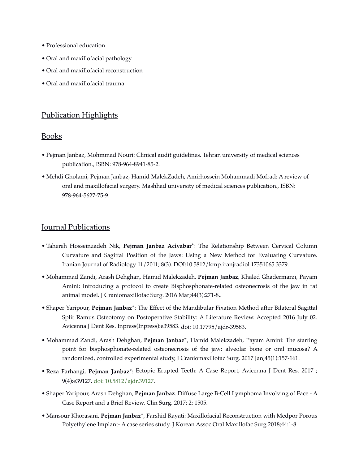- Professional education
- Oral and maxillofacial pathology
- Oral and maxillofacial reconstruction
- Oral and maxillofacial trauma

## Publication Highlights

#### Books

- Pejman Janbaz, Mohmmad Nouri: Clinical audit guidelines. Tehran university of medical sciences publication., ISBN: 978-964-8941-85-2.
- Mehdi Gholami, Pejman Janbaz, Hamid MalekZadeh, Amirhossein Mohammadi Mofrad: A review of oral and maxillofacial surgery. Mashhad university of medical sciences publication., ISBN: 978-964-5627-75-9.

#### Journal Publications

- Tahereh Hosseinzadeh Nik, **Pejman Janbaz Aciyabar\***: The Relationship Between Cervical Column Curvature and Sagittal Position of the Jaws: Using a New Method for Evaluating Curvature. Iranian Journal of Radiology 11/2011; 8(3). DOI:10.5812/kmp.iranjradiol.17351065.3379.
- Mohammad Zandi, Arash Dehghan, Hamid Malekzadeh, **Pejman Janbaz**, Khaled Ghadermarzi, Payam Amini: Introducing a protocol to create Bisphosphonate-related osteonecrosis of the jaw in rat animal model. J Craniomaxillofac Surg. 2016 Mar;44(3):271-8..
- Shaper Yaripour, **Pejman Janbaz\***: The Effect of the Mandibular Fixation Method after Bilateral Sagittal Split Ramus Osteotomy on Postoperative Stability: A Literature Review. Accepted 2016 July 02. Avicenna J Dent Res. Inpress(Inpress):e39583. doi: 10.17795/ajdr-39583.
- Mohammad Zandi, Arash Dehghan, **Pejman Janbaz\***, Hamid Malekzadeh, Payam Amini: The starting point for bisphosphonate-related osteonecrosis of the jaw: alveolar bone or oral mucosa? A randomized, controlled experimental study, J Craniomaxillofac Surg. 2017 Jan;45(1):157-161.
- Reza Farhangi, **Pejman Janbaz**\*: Ectopic Erupted Teeth: A Case Report, Avicenna J Dent Res. 2017 ; 9(4):e39127. [doi: 10.5812/ajdr.39127](http://dx.doi.org/10.5812/ajdr.39127).
- Shaper Yaripour, Arash Dehghan, **Pejman Janbaz**. Diffuse Large B-Cell Lymphoma Involving of Face A Case Report and a Brief Review. Clin Surg. 2017; 2: 1505.
- Mansour Khorasani, **Pejman Janbaz\***, Farshid Rayati: Maxillofacial Reconstruction with Medpor Porous Polyethylene Implant- A case series study. J Korean Assoc Oral Maxillofac Surg 2018;44:1-8